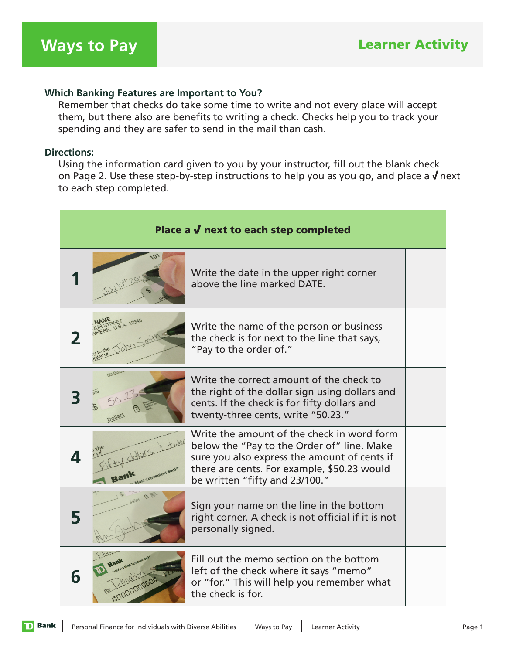## **Which Banking Features are Important to You?**

 Remember that checks do take some time to write and not every place will accept them, but there also are benefits to writing a check. Checks help you to track your spending and they are safer to send in the mail than cash.

## **Directions:**

 Using the information card given to you by your instructor, fill out the blank check on Page 2. Use these step-by-step instructions to help you as you go, and place a  $\sqrt{ }$  next to each step completed.

| Place a $\boldsymbol{V}$ next to each step completed |                     |                                                                                                                                                                                                                           |  |
|------------------------------------------------------|---------------------|---------------------------------------------------------------------------------------------------------------------------------------------------------------------------------------------------------------------------|--|
|                                                      |                     | Write the date in the upper right corner<br>above the line marked DATE.                                                                                                                                                   |  |
|                                                      |                     | Write the name of the person or business<br>the check is for next to the line that says,<br>"Pay to the order of."                                                                                                        |  |
|                                                      | 00-00               | Write the correct amount of the check to<br>the right of the dollar sign using dollars and<br>cents. If the check is for fifty dollars and<br>twenty-three cents, write "50.23."                                          |  |
|                                                      | lost Convenient Ban | Write the amount of the check in word form<br>below the "Pay to the Order of" line. Make<br>sure you also express the amount of cents if<br>there are cents. For example, \$50.23 would<br>be written "fifty and 23/100." |  |
| 5                                                    | $\mathcal{B}$       | Sign your name on the line in the bottom<br>right corner. A check is not official if it is not<br>personally signed.                                                                                                      |  |
| 6                                                    |                     | Fill out the memo section on the bottom<br>left of the check where it says "memo"<br>or "for." This will help you remember what<br>the check is for.                                                                      |  |